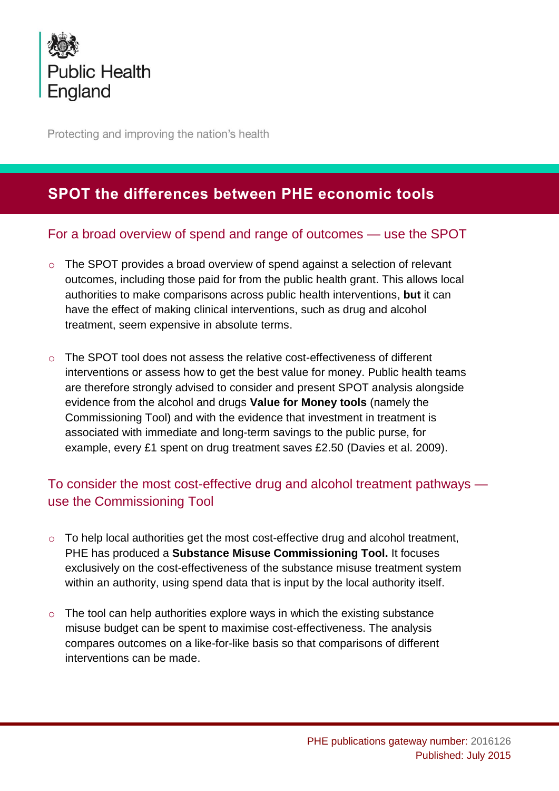

Protecting and improving the nation's health

## **SPOT the differences between PHE economic tools**

## For a broad overview of spend and range of outcomes — use the SPOT

- o The SPOT provides a broad overview of spend against a selection of relevant outcomes, including those paid for from the public health grant. This allows local authorities to make comparisons across public health interventions, **but** it can have the effect of making clinical interventions, such as drug and alcohol treatment, seem expensive in absolute terms.
- $\circ$  The SPOT tool does not assess the relative cost-effectiveness of different interventions or assess how to get the best value for money. Public health teams are therefore strongly advised to consider and present SPOT analysis alongside evidence from the alcohol and drugs **[Value for Money tools](https://www.ndtms.net/ValueForMoney.aspx)** (namely the Commissioning Tool) and with the evidence that investment in treatment is associated with immediate and long-term savings to the public purse, for example, every £1 spent on drug treatment saves £2.50 (Davies et al. 2009).

## To consider the most cost-effective drug and alcohol treatment pathways use the Commissioning Tool

- $\circ$  To help local authorities get the most cost-effective drug and alcohol treatment, PHE has produced a **[Substance Misuse Commissioning Tool.](https://www.ndtms.net/ValueForMoney.aspx)** It focuses exclusively on the cost-effectiveness of the substance misuse treatment system within an authority, using spend data that is input by the local authority itself.
- $\circ$  The tool can help authorities explore ways in which the existing substance misuse budget can be spent to maximise cost-effectiveness. The analysis compares outcomes on a like-for-like basis so that comparisons of different interventions can be made.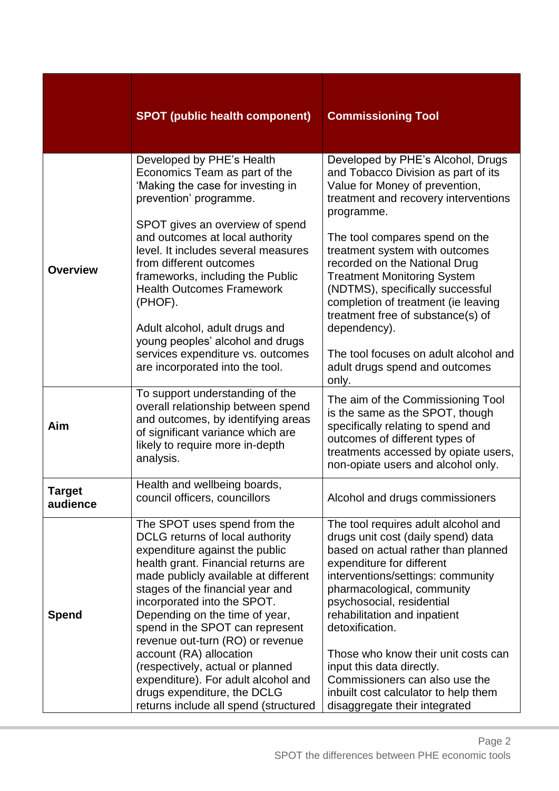|                           | <b>SPOT (public health component)</b>                                                                                                                                                                                                                                                                                                                                                                                                                                                                                                      | <b>Commissioning Tool</b>                                                                                                                                                                                                                                                                                                                                                                                                                                                                                                       |
|---------------------------|--------------------------------------------------------------------------------------------------------------------------------------------------------------------------------------------------------------------------------------------------------------------------------------------------------------------------------------------------------------------------------------------------------------------------------------------------------------------------------------------------------------------------------------------|---------------------------------------------------------------------------------------------------------------------------------------------------------------------------------------------------------------------------------------------------------------------------------------------------------------------------------------------------------------------------------------------------------------------------------------------------------------------------------------------------------------------------------|
| <b>Overview</b>           | Developed by PHE's Health<br>Economics Team as part of the<br>'Making the case for investing in<br>prevention' programme.<br>SPOT gives an overview of spend<br>and outcomes at local authority<br>level. It includes several measures<br>from different outcomes<br>frameworks, including the Public<br><b>Health Outcomes Framework</b><br>(PHOF).<br>Adult alcohol, adult drugs and<br>young peoples' alcohol and drugs<br>services expenditure vs. outcomes<br>are incorporated into the tool.                                         | Developed by PHE's Alcohol, Drugs<br>and Tobacco Division as part of its<br>Value for Money of prevention,<br>treatment and recovery interventions<br>programme.<br>The tool compares spend on the<br>treatment system with outcomes<br>recorded on the National Drug<br><b>Treatment Monitoring System</b><br>(NDTMS), specifically successful<br>completion of treatment (ie leaving<br>treatment free of substance(s) of<br>dependency).<br>The tool focuses on adult alcohol and<br>adult drugs spend and outcomes<br>only. |
| Aim                       | To support understanding of the<br>overall relationship between spend<br>and outcomes, by identifying areas<br>of significant variance which are<br>likely to require more in-depth<br>analysis.                                                                                                                                                                                                                                                                                                                                           | The aim of the Commissioning Tool<br>is the same as the SPOT, though<br>specifically relating to spend and<br>outcomes of different types of<br>treatments accessed by opiate users,<br>non-opiate users and alcohol only.                                                                                                                                                                                                                                                                                                      |
| <b>Target</b><br>audience | Health and wellbeing boards,<br>council officers, councillors                                                                                                                                                                                                                                                                                                                                                                                                                                                                              | Alcohol and drugs commissioners                                                                                                                                                                                                                                                                                                                                                                                                                                                                                                 |
| <b>Spend</b>              | The SPOT uses spend from the<br>DCLG returns of local authority<br>expenditure against the public<br>health grant. Financial returns are<br>made publicly available at different<br>stages of the financial year and<br>incorporated into the SPOT.<br>Depending on the time of year,<br>spend in the SPOT can represent<br>revenue out-turn (RO) or revenue<br>account (RA) allocation<br>(respectively, actual or planned<br>expenditure). For adult alcohol and<br>drugs expenditure, the DCLG<br>returns include all spend (structured | The tool requires adult alcohol and<br>drugs unit cost (daily spend) data<br>based on actual rather than planned<br>expenditure for different<br>interventions/settings: community<br>pharmacological, community<br>psychosocial, residential<br>rehabilitation and inpatient<br>detoxification.<br>Those who know their unit costs can<br>input this data directly.<br>Commissioners can also use the<br>inbuilt cost calculator to help them<br>disaggregate their integrated                                                 |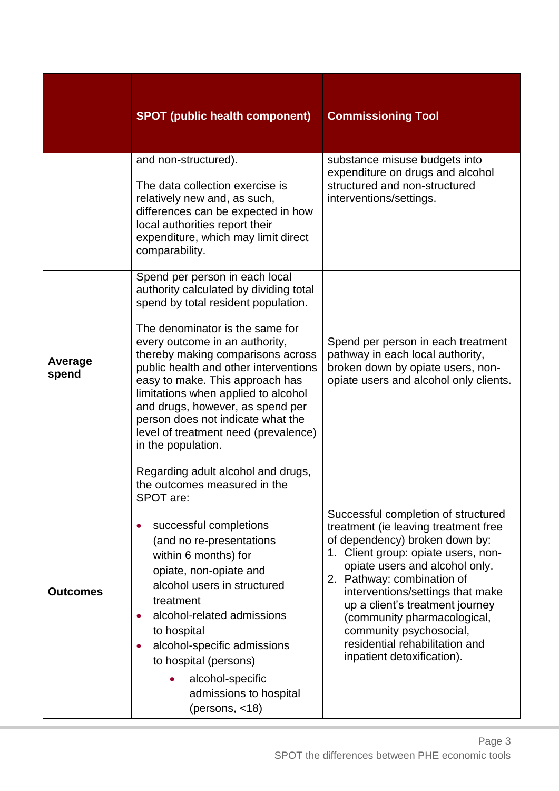|                  | <b>SPOT (public health component)</b>                                                                                                                                                                                                                                                                                                                                                                                                                                               | <b>Commissioning Tool</b>                                                                                                                                                                                                                                                                                                                                                                                             |
|------------------|-------------------------------------------------------------------------------------------------------------------------------------------------------------------------------------------------------------------------------------------------------------------------------------------------------------------------------------------------------------------------------------------------------------------------------------------------------------------------------------|-----------------------------------------------------------------------------------------------------------------------------------------------------------------------------------------------------------------------------------------------------------------------------------------------------------------------------------------------------------------------------------------------------------------------|
|                  | and non-structured).<br>The data collection exercise is<br>relatively new and, as such,<br>differences can be expected in how<br>local authorities report their<br>expenditure, which may limit direct<br>comparability.                                                                                                                                                                                                                                                            | substance misuse budgets into<br>expenditure on drugs and alcohol<br>structured and non-structured<br>interventions/settings.                                                                                                                                                                                                                                                                                         |
| Average<br>spend | Spend per person in each local<br>authority calculated by dividing total<br>spend by total resident population.<br>The denominator is the same for<br>every outcome in an authority,<br>thereby making comparisons across<br>public health and other interventions<br>easy to make. This approach has<br>limitations when applied to alcohol<br>and drugs, however, as spend per<br>person does not indicate what the<br>level of treatment need (prevalence)<br>in the population. | Spend per person in each treatment<br>pathway in each local authority,<br>broken down by opiate users, non-<br>opiate users and alcohol only clients.                                                                                                                                                                                                                                                                 |
| <b>Outcomes</b>  | Regarding adult alcohol and drugs,<br>the outcomes measured in the<br>SPOT are:<br>successful completions<br>(and no re-presentations<br>within 6 months) for<br>opiate, non-opiate and<br>alcohol users in structured<br>treatment<br>alcohol-related admissions<br>$\bullet$<br>to hospital<br>alcohol-specific admissions<br>to hospital (persons)<br>alcohol-specific<br>admissions to hospital<br>(persons, $<$ 18)                                                            | Successful completion of structured<br>treatment (ie leaving treatment free<br>of dependency) broken down by:<br>1. Client group: opiate users, non-<br>opiate users and alcohol only.<br>2. Pathway: combination of<br>interventions/settings that make<br>up a client's treatment journey<br>(community pharmacological,<br>community psychosocial,<br>residential rehabilitation and<br>inpatient detoxification). |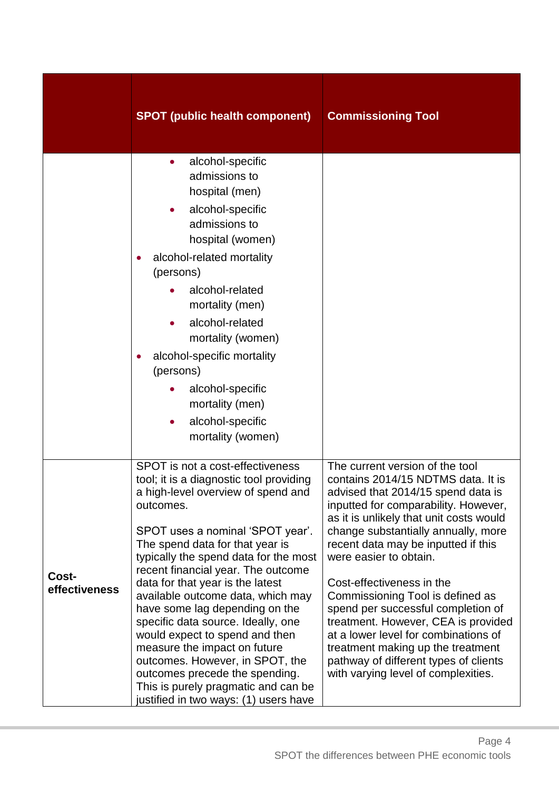|                        | <b>SPOT (public health component)</b>                                                                                                                                                                                                                                                                                                                                                                                                                                                                                                                                                                                                                        | <b>Commissioning Tool</b>                                                                                                                                                                                                                                                                                                                                                                                                                                                                                                                                                                                         |
|------------------------|--------------------------------------------------------------------------------------------------------------------------------------------------------------------------------------------------------------------------------------------------------------------------------------------------------------------------------------------------------------------------------------------------------------------------------------------------------------------------------------------------------------------------------------------------------------------------------------------------------------------------------------------------------------|-------------------------------------------------------------------------------------------------------------------------------------------------------------------------------------------------------------------------------------------------------------------------------------------------------------------------------------------------------------------------------------------------------------------------------------------------------------------------------------------------------------------------------------------------------------------------------------------------------------------|
|                        | alcohol-specific<br>$\bullet$<br>admissions to<br>hospital (men)<br>alcohol-specific<br>admissions to<br>hospital (women)<br>alcohol-related mortality<br>(persons)<br>alcohol-related<br>mortality (men)<br>alcohol-related<br>mortality (women)<br>alcohol-specific mortality<br>(persons)<br>alcohol-specific<br>mortality (men)<br>alcohol-specific<br>$\bullet$<br>mortality (women)                                                                                                                                                                                                                                                                    |                                                                                                                                                                                                                                                                                                                                                                                                                                                                                                                                                                                                                   |
| Cost-<br>effectiveness | SPOT is not a cost-effectiveness<br>tool; it is a diagnostic tool providing<br>a high-level overview of spend and<br>outcomes.<br>SPOT uses a nominal 'SPOT year'.<br>The spend data for that year is<br>typically the spend data for the most<br>recent financial year. The outcome<br>data for that year is the latest<br>available outcome data, which may<br>have some lag depending on the<br>specific data source. Ideally, one<br>would expect to spend and then<br>measure the impact on future<br>outcomes. However, in SPOT, the<br>outcomes precede the spending.<br>This is purely pragmatic and can be<br>justified in two ways: (1) users have | The current version of the tool<br>contains 2014/15 NDTMS data. It is<br>advised that 2014/15 spend data is<br>inputted for comparability. However,<br>as it is unlikely that unit costs would<br>change substantially annually, more<br>recent data may be inputted if this<br>were easier to obtain.<br>Cost-effectiveness in the<br>Commissioning Tool is defined as<br>spend per successful completion of<br>treatment. However, CEA is provided<br>at a lower level for combinations of<br>treatment making up the treatment<br>pathway of different types of clients<br>with varying level of complexities. |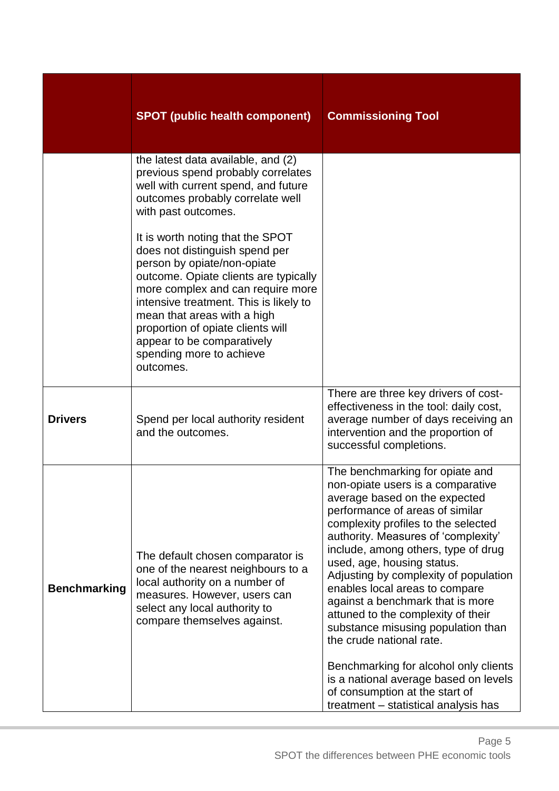|                     | <b>SPOT (public health component)</b>                                                                                                                                                                                                                                                                                                                                | <b>Commissioning Tool</b>                                                                                                                                                                                                                                                                                                                                                                                                                                                                                                                                                                                                                                                      |
|---------------------|----------------------------------------------------------------------------------------------------------------------------------------------------------------------------------------------------------------------------------------------------------------------------------------------------------------------------------------------------------------------|--------------------------------------------------------------------------------------------------------------------------------------------------------------------------------------------------------------------------------------------------------------------------------------------------------------------------------------------------------------------------------------------------------------------------------------------------------------------------------------------------------------------------------------------------------------------------------------------------------------------------------------------------------------------------------|
|                     | the latest data available, and (2)<br>previous spend probably correlates<br>well with current spend, and future<br>outcomes probably correlate well<br>with past outcomes.                                                                                                                                                                                           |                                                                                                                                                                                                                                                                                                                                                                                                                                                                                                                                                                                                                                                                                |
|                     | It is worth noting that the SPOT<br>does not distinguish spend per<br>person by opiate/non-opiate<br>outcome. Opiate clients are typically<br>more complex and can require more<br>intensive treatment. This is likely to<br>mean that areas with a high<br>proportion of opiate clients will<br>appear to be comparatively<br>spending more to achieve<br>outcomes. |                                                                                                                                                                                                                                                                                                                                                                                                                                                                                                                                                                                                                                                                                |
| <b>Drivers</b>      | Spend per local authority resident<br>and the outcomes.                                                                                                                                                                                                                                                                                                              | There are three key drivers of cost-<br>effectiveness in the tool: daily cost,<br>average number of days receiving an<br>intervention and the proportion of<br>successful completions.                                                                                                                                                                                                                                                                                                                                                                                                                                                                                         |
| <b>Benchmarking</b> | The default chosen comparator is<br>one of the nearest neighbours to a<br>local authority on a number of<br>measures. However, users can<br>select any local authority to<br>compare themselves against.                                                                                                                                                             | The benchmarking for opiate and<br>non-opiate users is a comparative<br>average based on the expected<br>performance of areas of similar<br>complexity profiles to the selected<br>authority. Measures of 'complexity'<br>include, among others, type of drug<br>used, age, housing status.<br>Adjusting by complexity of population<br>enables local areas to compare<br>against a benchmark that is more<br>attuned to the complexity of their<br>substance misusing population than<br>the crude national rate.<br>Benchmarking for alcohol only clients<br>is a national average based on levels<br>of consumption at the start of<br>treatment - statistical analysis has |